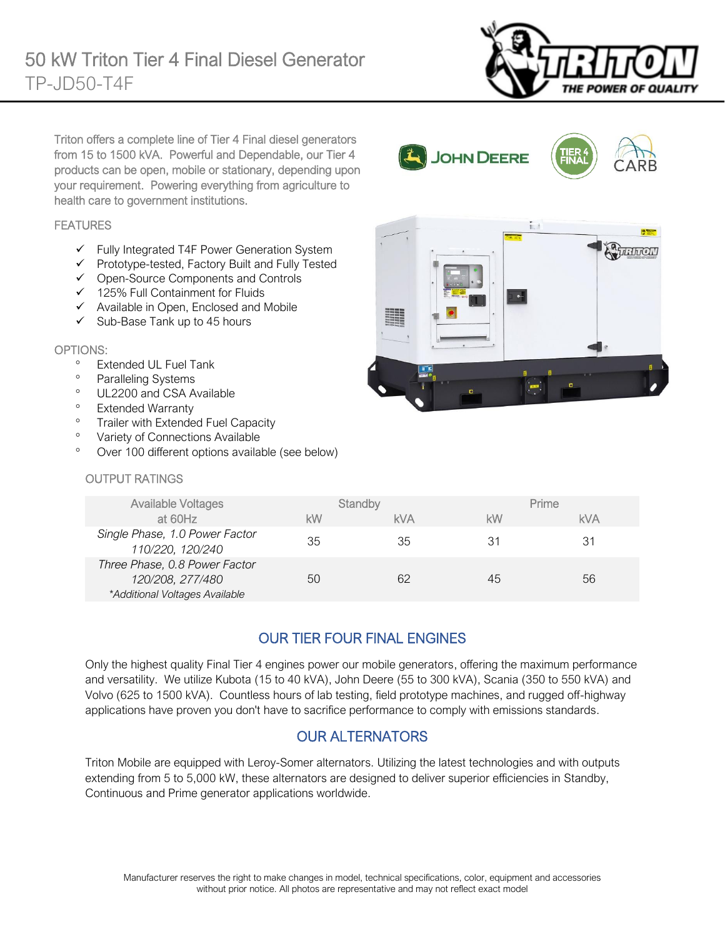

Triton offers a complete line of Tier 4 Final diesel generators from 15 to 1500 kVA. Powerful and Dependable, our Tier 4 products can be open, mobile or stationary, depending upon your requirement. Powering everything from agriculture to health care to government institutions.

#### FEATURES

- ✓ Fully Integrated T4F Power Generation System
- ✓ Prototype-tested, Factory Built and Fully Tested
- ✓ Open-Source Components and Controls
- ✓ 125% Full Containment for Fluids
- ✓ Available in Open, Enclosed and Mobile
- $\checkmark$  Sub-Base Tank up to 45 hours

#### OPTIONS:

- Extended UL Fuel Tank
- <sup>o</sup> Paralleling Systems
- <sup>o</sup> UL2200 and CSA Available
- Extended Warranty
- <sup>o</sup> Trailer with Extended Fuel Capacity
- <sup>o</sup> Variety of Connections Available
- Over 100 different options available (see below)

#### OUTPUT RATINGS

|           | $\sim$<br>$-8886$<br>٠<br>٠              | Authron           |
|-----------|------------------------------------------|-------------------|
|           | 端<br>Street, THIRD Like the<br>$\bullet$ |                   |
|           |                                          | I.<br>п           |
| $\bullet$ | $V$ $V$<br>O                             | $x - x$<br>٠<br>a |

JOHN DEERE

| <b>Available Voltages</b>                                                           |    | Standby    |    | Prime      |
|-------------------------------------------------------------------------------------|----|------------|----|------------|
| at 60Hz                                                                             | kW | <b>kVA</b> | kW | <b>kVA</b> |
| Single Phase, 1.0 Power Factor<br>110/220, 120/240                                  | 35 | 35         | 31 | 31         |
| Three Phase, 0.8 Power Factor<br>120/208, 277/480<br>*Additional Voltages Available | 50 | 62         | 45 | 56         |

### OUR TIER FOUR FINAL ENGINES

Only the highest quality Final Tier 4 engines power our mobile generators, offering the maximum performance and versatility. We utilize Kubota (15 to 40 kVA), John Deere (55 to 300 kVA), Scania (350 to 550 kVA) and Volvo (625 to 1500 kVA). Countless hours of lab testing, field prototype machines, and rugged off-highway applications have proven you don't have to sacrifice performance to comply with emissions standards.

#### OUR ALTERNATORS

Triton Mobile are equipped with Leroy-Somer alternators. Utilizing the latest technologies and with outputs extending from 5 to 5,000 kW, these alternators are designed to deliver superior efficiencies in Standby, Continuous and Prime generator applications worldwide.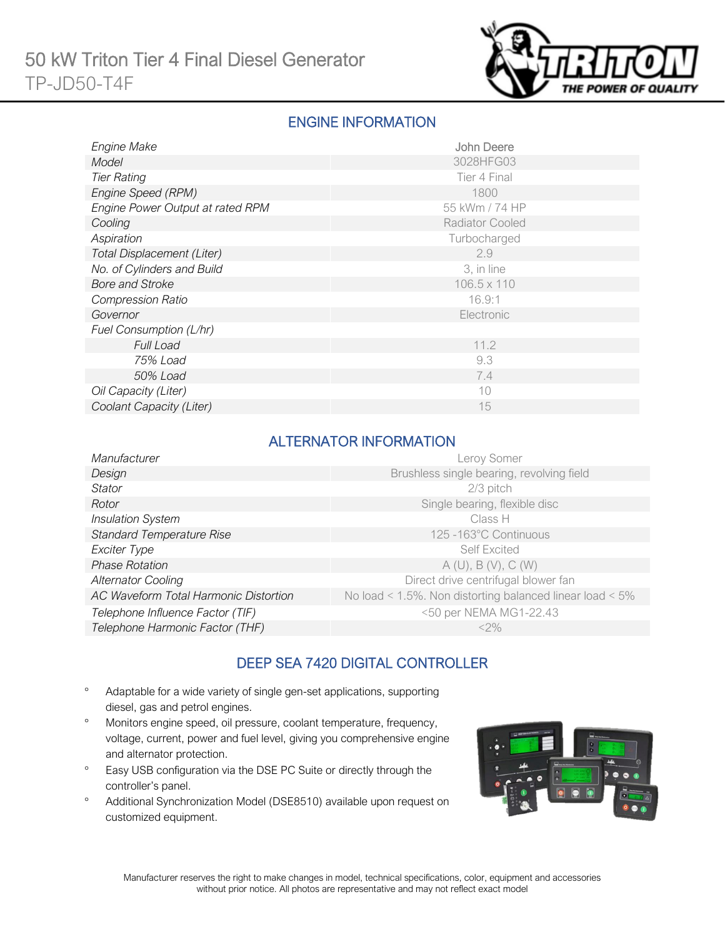

### ENGINE INFORMATION

| Engine Make                      | John Deere             |
|----------------------------------|------------------------|
| Model                            | 3028HFG03              |
| <b>Tier Rating</b>               | Tier 4 Final           |
| Engine Speed (RPM)               | 1800                   |
| Engine Power Output at rated RPM | 55 kWm / 74 HP         |
| Cooling                          | <b>Radiator Cooled</b> |
| Aspiration                       | Turbocharged           |
| Total Displacement (Liter)       | 2.9                    |
| No. of Cylinders and Build       | 3, in line             |
| <b>Bore and Stroke</b>           | $106.5 \times 110$     |
| <b>Compression Ratio</b>         | 16.9:1                 |
| Governor                         | Electronic             |
| Fuel Consumption (L/hr)          |                        |
| <b>Full Load</b>                 | 11.2                   |
| 75% Load                         | 9.3                    |
| 50% Load                         | 7.4                    |
| Oil Capacity (Liter)             | 10                     |
| Coolant Capacity (Liter)         | 15                     |

#### ALTERNATOR INFORMATION

| Manufacturer                          | Leroy Somer                                                     |
|---------------------------------------|-----------------------------------------------------------------|
| Design                                | Brushless single bearing, revolving field                       |
| <b>Stator</b>                         | 2/3 pitch                                                       |
| Rotor                                 | Single bearing, flexible disc                                   |
| <b>Insulation System</b>              | Class H                                                         |
| <b>Standard Temperature Rise</b>      | 125 -163°C Continuous                                           |
| Exciter Type                          | <b>Self Excited</b>                                             |
| <b>Phase Rotation</b>                 | A(U), B(V), C(W)                                                |
| <b>Alternator Cooling</b>             | Direct drive centrifugal blower fan                             |
| AC Waveform Total Harmonic Distortion | No load < $1.5\%$ . Non distorting balanced linear load < $5\%$ |
| Telephone Influence Factor (TIF)      | <50 per NEMA MG1-22.43                                          |
| Telephone Harmonic Factor (THF)       | $<$ 2%                                                          |

### DEEP SEA 7420 DIGITAL CONTROLLER

- Adaptable for a wide variety of single gen-set applications, supporting diesel, gas and petrol engines.
- Monitors engine speed, oil pressure, coolant temperature, frequency, voltage, current, power and fuel level, giving you comprehensive engine and alternator protection.
- <sup>o</sup> Easy USB configuration via the DSE PC Suite or directly through the controller's panel.
- Additional Synchronization Model (DSE8510) available upon request on customized equipment.

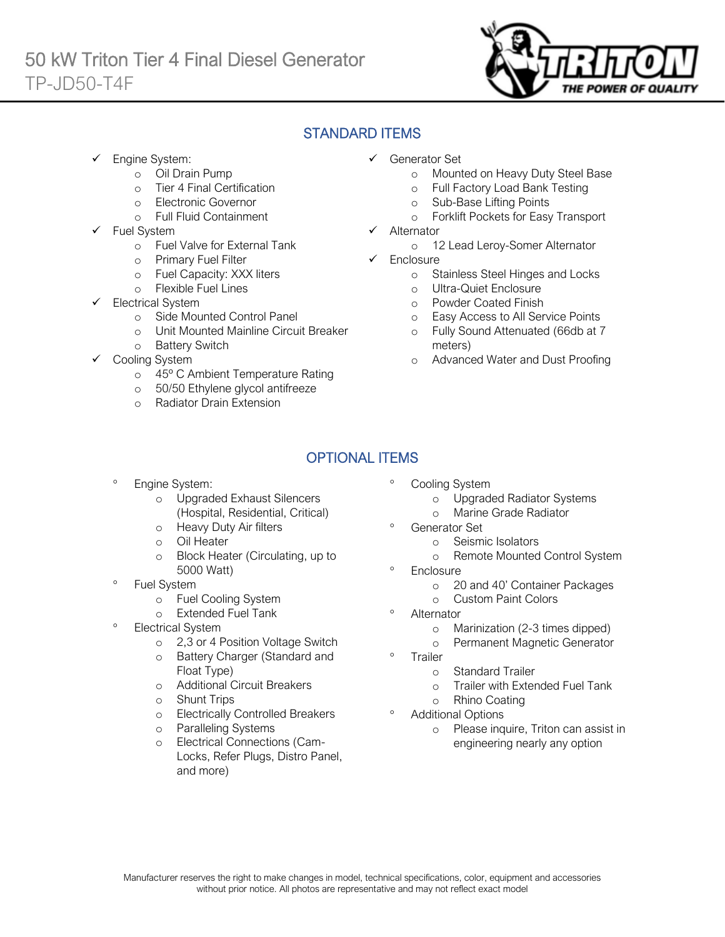

### STANDARD ITEMS

Engine System:

Ī

- o Oil Drain Pump
- o Tier 4 Final Certification
- o Electronic Governor
- o Full Fluid Containment
- Fuel System
	- o Fuel Valve for External Tank
	- o Primary Fuel Filter
	- o Fuel Capacity: XXX liters
	- o Flexible Fuel Lines
- Electrical System
	- o Side Mounted Control Panel
	- o Unit Mounted Mainline Circuit Breaker
	- o Battery Switch
- Cooling System
	- o 45º C Ambient Temperature Rating
	- o 50/50 Ethylene glycol antifreeze
	- o Radiator Drain Extension
- ✓ Generator Set
	- o Mounted on Heavy Duty Steel Base
	- o Full Factory Load Bank Testing
	- o Sub-Base Lifting Points
	- o Forklift Pockets for Easy Transport
- **Alternator** 
	- o 12 Lead Leroy-Somer Alternator
- ✓ Enclosure
	- o Stainless Steel Hinges and Locks
	- o Ultra-Quiet Enclosure
	- o Powder Coated Finish
	- o Easy Access to All Service Points
	- o Fully Sound Attenuated (66db at 7 meters)
	- o Advanced Water and Dust Proofing

# OPTIONAL ITEMS

- Engine System:
	- o Upgraded Exhaust Silencers (Hospital, Residential, Critical)
	- o Heavy Duty Air filters
	- o Oil Heater
	- o Block Heater (Circulating, up to 5000 Watt)
- Fuel System
	- o Fuel Cooling System
	- o Extended Fuel Tank
- Electrical System
	- o 2,3 or 4 Position Voltage Switch
	- o Battery Charger (Standard and Float Type)
	- o Additional Circuit Breakers
	- o Shunt Trips
	- o Electrically Controlled Breakers
	- o Paralleling Systems
	- Electrical Connections (Cam-Locks, Refer Plugs, Distro Panel, and more)
- Cooling System
	- o Upgraded Radiator Systems
	- o Marine Grade Radiator
- Generator Set
	- o Seismic Isolators
	- o Remote Mounted Control System
- <sup>o</sup> Enclosure
	- o 20 and 40' Container Packages
	- o Custom Paint Colors
- <sup>o</sup> Alternator
	- o Marinization (2-3 times dipped)
	- o Permanent Magnetic Generator
- <sup>o</sup> Trailer
	- o Standard Trailer
	- o Trailer with Extended Fuel Tank
	- o Rhino Coating

#### Additional Options

o Please inquire, Triton can assist in engineering nearly any option